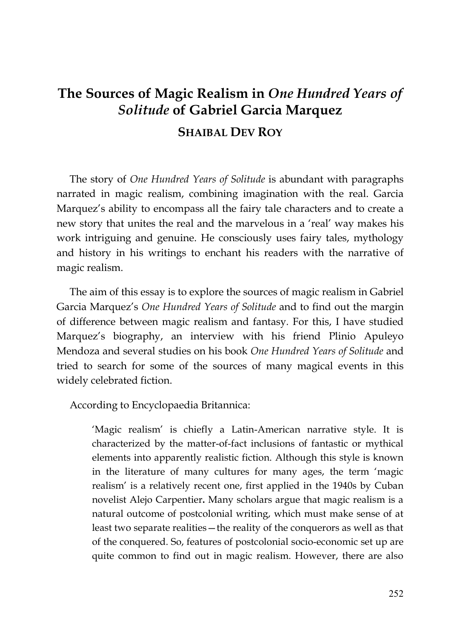## **The Sources of Magic Realism in** *One Hundred Years of Solitude* **of Gabriel Garcia Marquez SHAIBAL DEV ROY**

The story of *One Hundred Years of Solitude* is abundant with paragraphs narrated in magic realism, combining imagination with the real. Garcia Marquez's ability to encompass all the fairy tale characters and to create a new story that unites the real and the marvelous in a 'real' way makes his work intriguing and genuine. He consciously uses fairy tales, mythology and history in his writings to enchant his readers with the narrative of magic realism.

The aim of this essay is to explore the sources of magic realism in Gabriel Garcia Marquez's *One Hundred Years of Solitude* and to find out the margin of difference between magic realism and fantasy*.* For this, I have studied Marquez's biography, an interview with his friend Plinio Apuleyo Mendoza and several studies on his book *One Hundred Years of Solitude* and tried to search for some of the sources of many magical events in this widely celebrated fiction.

According to Encyclopaedia Britannica:

'Magic realism' is chiefly a Latin-American narrative style. It is characterized by the matter-of-fact inclusions of fantastic or mythical elements into apparently realistic fiction. Although this style is known in the literature of many cultures for many ages, the term 'magic realism' is a relatively recent one, first applied in the 1940s by Cuban novelist Alejo Carpentier**.** Many scholars argue that magic realism is a natural outcome of postcolonial writing, which must make sense of at least two separate realities—the reality of the conquerors as well as that of the conquered. So, features of postcolonial socio-economic set up are quite common to find out in magic realism. However, there are also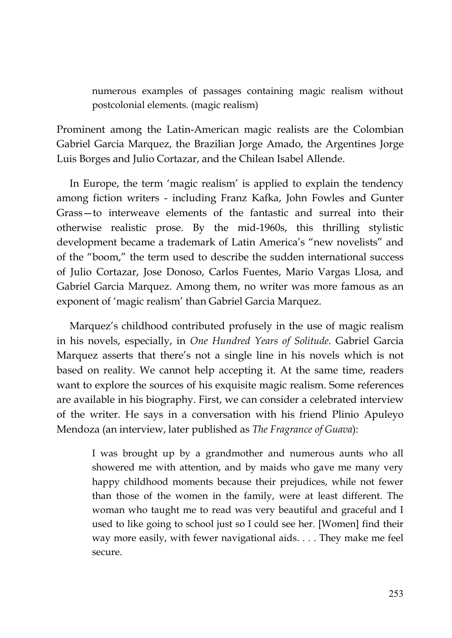numerous examples of passages containing magic realism without postcolonial elements. (magic realism)

Prominent among the Latin-American magic realists are the Colombian Gabriel Garcia Marquez, the Brazilian Jorge Amado, the Argentines Jorge Luis Borges and Julio Cortazar, and the Chilean Isabel Allende.

In Europe, the term 'magic realism' is applied to explain the tendency among fiction writers - including Franz Kafka, John Fowles and Gunter Grass—to interweave elements of the fantastic and surreal into their otherwise realistic prose. By the mid-1960s, this thrilling stylistic development became a trademark of Latin America's "new novelists" and of the "boom," the term used to describe the sudden international success of Julio Cortazar, Jose Donoso, Carlos Fuentes, Mario Vargas Llosa, and Gabriel Garcia Marquez. Among them, no writer was more famous as an exponent of 'magic realism' than Gabriel Garcia Marquez.

Marquez's childhood contributed profusely in the use of magic realism in his novels, especially, in *One Hundred Years of Solitude*. Gabriel Garcia Marquez asserts that there's not a single line in his novels which is not based on reality. We cannot help accepting it. At the same time, readers want to explore the sources of his exquisite magic realism. Some references are available in his biography. First, we can consider a celebrated interview of the writer. He says in a conversation with his friend Plinio Apuleyo Mendoza (an interview, later published as *The Fragrance of Guava*):

> I was brought up by a grandmother and numerous aunts who all showered me with attention, and by maids who gave me many very happy childhood moments because their prejudices, while not fewer than those of the women in the family, were at least different. The woman who taught me to read was very beautiful and graceful and I used to like going to school just so I could see her. [Women] find their way more easily, with fewer navigational aids. . . . They make me feel secure.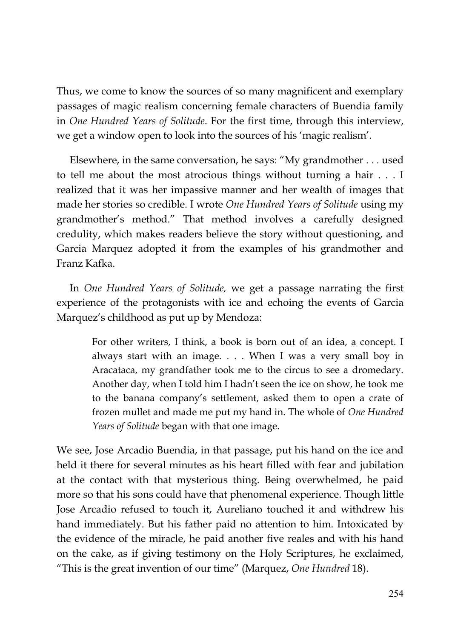Thus, we come to know the sources of so many magnificent and exemplary passages of magic realism concerning female characters of Buendia family in *One Hundred Years of Solitude*. For the first time, through this interview, we get a window open to look into the sources of his 'magic realism'.

Elsewhere, in the same conversation, he says: "My grandmother . . . used to tell me about the most atrocious things without turning a hair . . . I realized that it was her impassive manner and her wealth of images that made her stories so credible. I wrote *One Hundred Years of Solitude* using my grandmother's method." That method involves a carefully designed credulity, which makes readers believe the story without questioning, and Garcia Marquez adopted it from the examples of his grandmother and Franz Kafka.

In *One Hundred Years of Solitude,* we get a passage narrating the first experience of the protagonists with ice and echoing the events of Garcia Marquez's childhood as put up by Mendoza:

> For other writers, I think, a book is born out of an idea, a concept. I always start with an image. . . . When I was a very small boy in Aracataca, my grandfather took me to the circus to see a dromedary. Another day, when I told him I hadn't seen the ice on show, he took me to the banana company's settlement, asked them to open a crate of frozen mullet and made me put my hand in. The whole of *One Hundred Years of Solitude* began with that one image.

We see, Jose Arcadio Buendia, in that passage, put his hand on the ice and held it there for several minutes as his heart filled with fear and jubilation at the contact with that mysterious thing. Being overwhelmed, he paid more so that his sons could have that phenomenal experience. Though little Jose Arcadio refused to touch it, Aureliano touched it and withdrew his hand immediately. But his father paid no attention to him. Intoxicated by the evidence of the miracle, he paid another five reales and with his hand on the cake, as if giving testimony on the Holy Scriptures, he exclaimed, "This is the great invention of our time" (Marquez, *One Hundred* 18).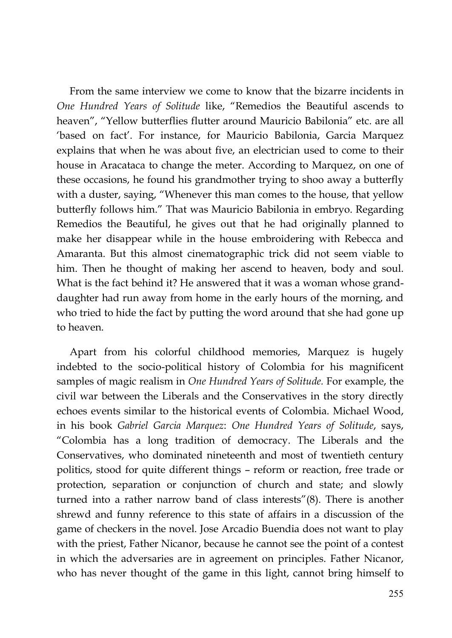From the same interview we come to know that the bizarre incidents in *One Hundred Years of Solitude* like, "Remedios the Beautiful ascends to heaven", "Yellow butterflies flutter around Mauricio Babilonia" etc. are all 'based on fact'. For instance, for Mauricio Babilonia, Garcia Marquez explains that when he was about five, an electrician used to come to their house in Aracataca to change the meter. According to Marquez, on one of these occasions, he found his grandmother trying to shoo away a butterfly with a duster, saying, "Whenever this man comes to the house, that yellow butterfly follows him." That was Mauricio Babilonia in embryo. Regarding Remedios the Beautiful, he gives out that he had originally planned to make her disappear while in the house embroidering with Rebecca and Amaranta. But this almost cinematographic trick did not seem viable to him. Then he thought of making her ascend to heaven, body and soul. What is the fact behind it? He answered that it was a woman whose granddaughter had run away from home in the early hours of the morning, and who tried to hide the fact by putting the word around that she had gone up to heaven.

Apart from his colorful childhood memories, Marquez is hugely indebted to the socio-political history of Colombia for his magnificent samples of magic realism in *One Hundred Years of Solitude.* For example, the civil war between the Liberals and the Conservatives in the story directly echoes events similar to the historical events of Colombia. Michael Wood, in his book *Gabriel Garcia Marquez*: *One Hundred Years of Solitude*, says, "Colombia has a long tradition of democracy. The Liberals and the Conservatives, who dominated nineteenth and most of twentieth century politics, stood for quite different things – reform or reaction, free trade or protection, separation or conjunction of church and state; and slowly turned into a rather narrow band of class interests"(8). There is another shrewd and funny reference to this state of affairs in a discussion of the game of checkers in the novel. Jose Arcadio Buendia does not want to play with the priest, Father Nicanor, because he cannot see the point of a contest in which the adversaries are in agreement on principles. Father Nicanor, who has never thought of the game in this light, cannot bring himself to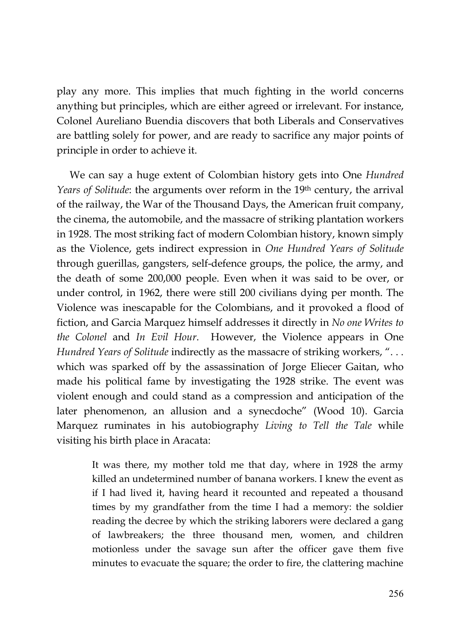play any more. This implies that much fighting in the world concerns anything but principles, which are either agreed or irrelevant. For instance, Colonel Aureliano Buendia discovers that both Liberals and Conservatives are battling solely for power, and are ready to sacrifice any major points of principle in order to achieve it.

We can say a huge extent of Colombian history gets into One *Hundred Years of Solitude*: the arguments over reform in the 19th century, the arrival of the railway, the War of the Thousand Days, the American fruit company, the cinema, the automobile, and the massacre of striking plantation workers in 1928. The most striking fact of modern Colombian history, known simply as the Violence, gets indirect expression in *One Hundred Years of Solitude* through guerillas, gangsters, self-defence groups, the police, the army, and the death of some 200,000 people. Even when it was said to be over, or under control, in 1962, there were still 200 civilians dying per month. The Violence was inescapable for the Colombians, and it provoked a flood of fiction, and Garcia Marquez himself addresses it directly in *No one Writes to the Colonel* and *In Evil Hour*. However, the Violence appears in One *Hundred Years of Solitude* indirectly as the massacre of striking workers, ". . . which was sparked off by the assassination of Jorge Eliecer Gaitan, who made his political fame by investigating the 1928 strike. The event was violent enough and could stand as a compression and anticipation of the later phenomenon, an allusion and a synecdoche" (Wood 10). Garcia Marquez ruminates in his autobiography *Living to Tell the Tale* while visiting his birth place in Aracata:

> It was there, my mother told me that day, where in 1928 the army killed an undetermined number of banana workers. I knew the event as if I had lived it, having heard it recounted and repeated a thousand times by my grandfather from the time I had a memory: the soldier reading the decree by which the striking laborers were declared a gang of lawbreakers; the three thousand men, women, and children motionless under the savage sun after the officer gave them five minutes to evacuate the square; the order to fire, the clattering machine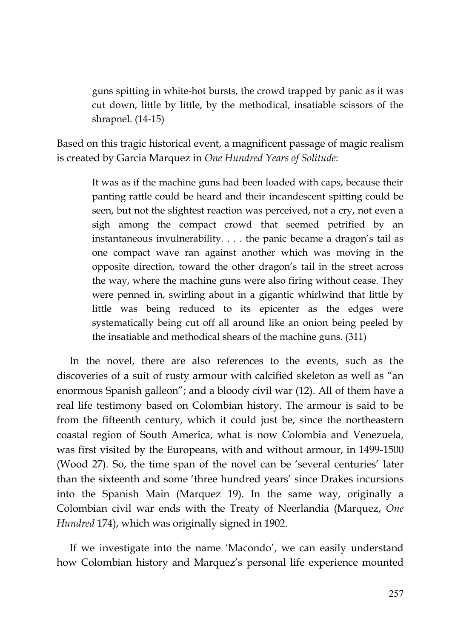guns spitting in white-hot bursts, the crowd trapped by panic as it was cut down, little by little, by the methodical, insatiable scissors of the shrapnel. (14-15)

Based on this tragic historical event, a magnificent passage of magic realism is created by Garcia Marquez in *One Hundred Years of Solitude*:

> It was as if the machine guns had been loaded with caps, because their panting rattle could be heard and their incandescent spitting could be seen, but not the slightest reaction was perceived, not a cry, not even a sigh among the compact crowd that seemed petrified by an instantaneous invulnerability. . . . the panic became a dragon's tail as one compact wave ran against another which was moving in the opposite direction, toward the other dragon's tail in the street across the way, where the machine guns were also firing without cease. They were penned in, swirling about in a gigantic whirlwind that little by little was being reduced to its epicenter as the edges were systematically being cut off all around like an onion being peeled by the insatiable and methodical shears of the machine guns. (311)

In the novel, there are also references to the events, such as the discoveries of a suit of rusty armour with calcified skeleton as well as "an enormous Spanish galleon"; and a bloody civil war (12). All of them have a real life testimony based on Colombian history. The armour is said to be from the fifteenth century, which it could just be, since the northeastern coastal region of South America, what is now Colombia and Venezuela, was first visited by the Europeans, with and without armour, in 1499-1500 (Wood 27). So, the time span of the novel can be 'several centuries' later than the sixteenth and some 'three hundred years' since Drakes incursions into the Spanish Main (Marquez 19). In the same way, originally a Colombian civil war ends with the Treaty of Neerlandia (Marquez, *One Hundred* 174), which was originally signed in 1902.

If we investigate into the name 'Macondo', we can easily understand how Colombian history and Marquez's personal life experience mounted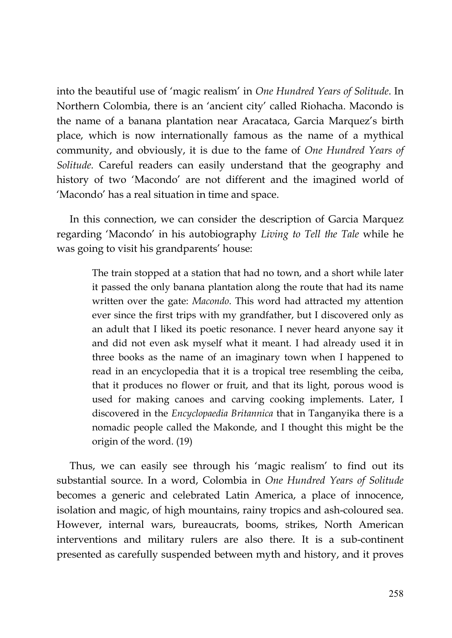into the beautiful use of 'magic realism' in *One Hundred Years of Solitude*. In Northern Colombia, there is an 'ancient city' called Riohacha. Macondo is the name of a banana plantation near Aracataca, Garcia Marquez's birth place, which is now internationally famous as the name of a mythical community, and obviously, it is due to the fame of *One Hundred Years of Solitude.* Careful readers can easily understand that the geography and history of two 'Macondo' are not different and the imagined world of 'Macondo' has a real situation in time and space.

In this connection, we can consider the description of Garcia Marquez regarding 'Macondo' in his autobiography *Living to Tell the Tale* while he was going to visit his grandparents' house:

> The train stopped at a station that had no town, and a short while later it passed the only banana plantation along the route that had its name written over the gate: *Macondo*. This word had attracted my attention ever since the first trips with my grandfather, but I discovered only as an adult that I liked its poetic resonance. I never heard anyone say it and did not even ask myself what it meant. I had already used it in three books as the name of an imaginary town when I happened to read in an encyclopedia that it is a tropical tree resembling the ceiba, that it produces no flower or fruit, and that its light, porous wood is used for making canoes and carving cooking implements. Later, I discovered in the *Encyclopaedia Britannica* that in Tanganyika there is a nomadic people called the Makonde, and I thought this might be the origin of the word. (19)

Thus, we can easily see through his 'magic realism' to find out its substantial source. In a word, Colombia in *One Hundred Years of Solitude* becomes a generic and celebrated Latin America, a place of innocence, isolation and magic, of high mountains, rainy tropics and ash-coloured sea. However, internal wars, bureaucrats, booms, strikes, North American interventions and military rulers are also there. It is a sub-continent presented as carefully suspended between myth and history, and it proves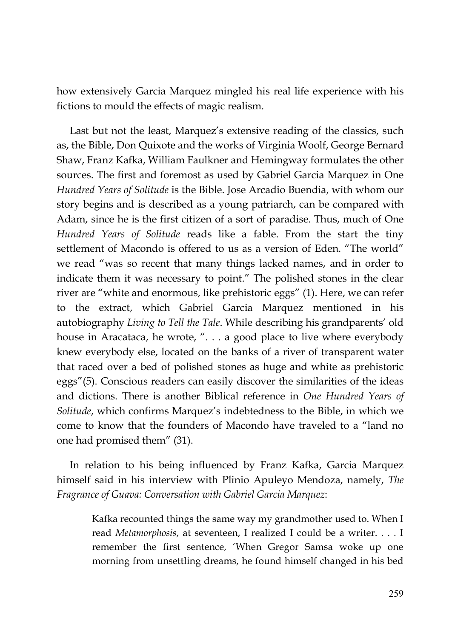how extensively Garcia Marquez mingled his real life experience with his fictions to mould the effects of magic realism.

Last but not the least, Marquez's extensive reading of the classics, such as, the Bible, Don Quixote and the works of Virginia Woolf, George Bernard Shaw, Franz Kafka, William Faulkner and Hemingway formulates the other sources. The first and foremost as used by Gabriel Garcia Marquez in One *Hundred Years of Solitude* is the Bible. Jose Arcadio Buendia, with whom our story begins and is described as a young patriarch, can be compared with Adam, since he is the first citizen of a sort of paradise. Thus, much of One *Hundred Years of Solitude* reads like a fable. From the start the tiny settlement of Macondo is offered to us as a version of Eden. "The world" we read "was so recent that many things lacked names, and in order to indicate them it was necessary to point." The polished stones in the clear river are "white and enormous, like prehistoric eggs" (1). Here, we can refer to the extract, which Gabriel Garcia Marquez mentioned in his autobiography *Living to Tell the Tale*. While describing his grandparents' old house in Aracataca, he wrote, ". . . a good place to live where everybody knew everybody else, located on the banks of a river of transparent water that raced over a bed of polished stones as huge and white as prehistoric eggs"(5). Conscious readers can easily discover the similarities of the ideas and dictions. There is another Biblical reference in *One Hundred Years of Solitude*, which confirms Marquez's indebtedness to the Bible, in which we come to know that the founders of Macondo have traveled to a "land no one had promised them" (31).

In relation to his being influenced by Franz Kafka, Garcia Marquez himself said in his interview with Plinio Apuleyo Mendoza, namely, *The Fragrance of Guava: Conversation with Gabriel Garcia Marquez*:

> Kafka recounted things the same way my grandmother used to. When I read *Metamorphosis*, at seventeen, I realized I could be a writer. . . . I remember the first sentence, 'When Gregor Samsa woke up one morning from unsettling dreams, he found himself changed in his bed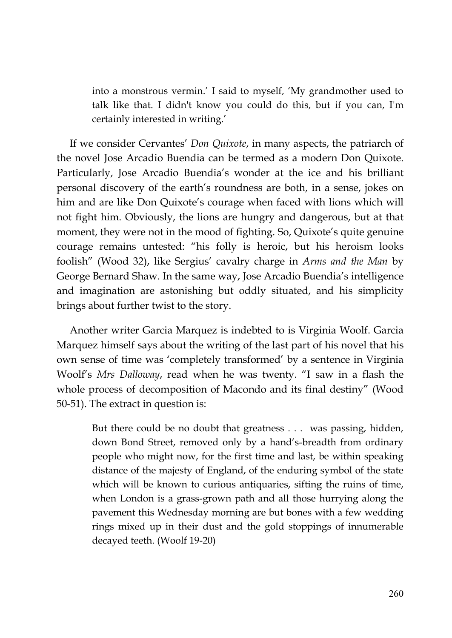into a monstrous vermin.' I said to myself, 'My grandmother used to talk like that. I didn't know you could do this, but if you can, I'm certainly interested in writing.'

If we consider Cervantes' *Don Quixote*, in many aspects, the patriarch of the novel Jose Arcadio Buendia can be termed as a modern Don Quixote. Particularly, Jose Arcadio Buendia's wonder at the ice and his brilliant personal discovery of the earth's roundness are both, in a sense, jokes on him and are like Don Quixote's courage when faced with lions which will not fight him. Obviously, the lions are hungry and dangerous, but at that moment, they were not in the mood of fighting. So, Quixote's quite genuine courage remains untested: "his folly is heroic, but his heroism looks foolish" (Wood 32), like Sergius' cavalry charge in *Arms and the Man* by George Bernard Shaw. In the same way, Jose Arcadio Buendia's intelligence and imagination are astonishing but oddly situated, and his simplicity brings about further twist to the story.

Another writer Garcia Marquez is indebted to is Virginia Woolf. Garcia Marquez himself says about the writing of the last part of his novel that his own sense of time was 'completely transformed' by a sentence in Virginia Woolf's *Mrs Dalloway*, read when he was twenty. "I saw in a flash the whole process of decomposition of Macondo and its final destiny" (Wood 50-51). The extract in question is:

> But there could be no doubt that greatness . . . was passing, hidden, down Bond Street, removed only by a hand's-breadth from ordinary people who might now, for the first time and last, be within speaking distance of the majesty of England, of the enduring symbol of the state which will be known to curious antiquaries, sifting the ruins of time, when London is a grass-grown path and all those hurrying along the pavement this Wednesday morning are but bones with a few wedding rings mixed up in their dust and the gold stoppings of innumerable decayed teeth. (Woolf 19-20)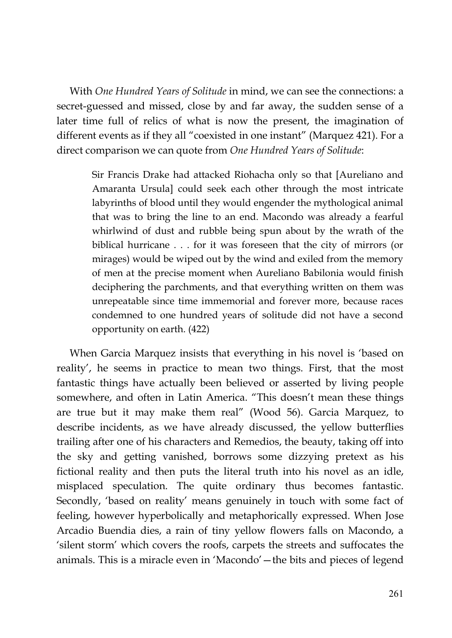With *One Hundred Years of Solitude* in mind, we can see the connections: a secret-guessed and missed, close by and far away, the sudden sense of a later time full of relics of what is now the present, the imagination of different events as if they all "coexisted in one instant" (Marquez 421). For a direct comparison we can quote from *One Hundred Years of Solitude*:

> Sir Francis Drake had attacked Riohacha only so that [Aureliano and Amaranta Ursula] could seek each other through the most intricate labyrinths of blood until they would engender the mythological animal that was to bring the line to an end. Macondo was already a fearful whirlwind of dust and rubble being spun about by the wrath of the biblical hurricane . . . for it was foreseen that the city of mirrors (or mirages) would be wiped out by the wind and exiled from the memory of men at the precise moment when Aureliano Babilonia would finish deciphering the parchments, and that everything written on them was unrepeatable since time immemorial and forever more, because races condemned to one hundred years of solitude did not have a second opportunity on earth. (422)

When Garcia Marquez insists that everything in his novel is 'based on reality', he seems in practice to mean two things. First, that the most fantastic things have actually been believed or asserted by living people somewhere, and often in Latin America. "This doesn't mean these things are true but it may make them real" (Wood 56). Garcia Marquez, to describe incidents, as we have already discussed, the yellow butterflies trailing after one of his characters and Remedios, the beauty, taking off into the sky and getting vanished, borrows some dizzying pretext as his fictional reality and then puts the literal truth into his novel as an idle, misplaced speculation. The quite ordinary thus becomes fantastic. Secondly, 'based on reality' means genuinely in touch with some fact of feeling, however hyperbolically and metaphorically expressed. When Jose Arcadio Buendia dies, a rain of tiny yellow flowers falls on Macondo, a 'silent storm' which covers the roofs, carpets the streets and suffocates the animals. This is a miracle even in 'Macondo'—the bits and pieces of legend